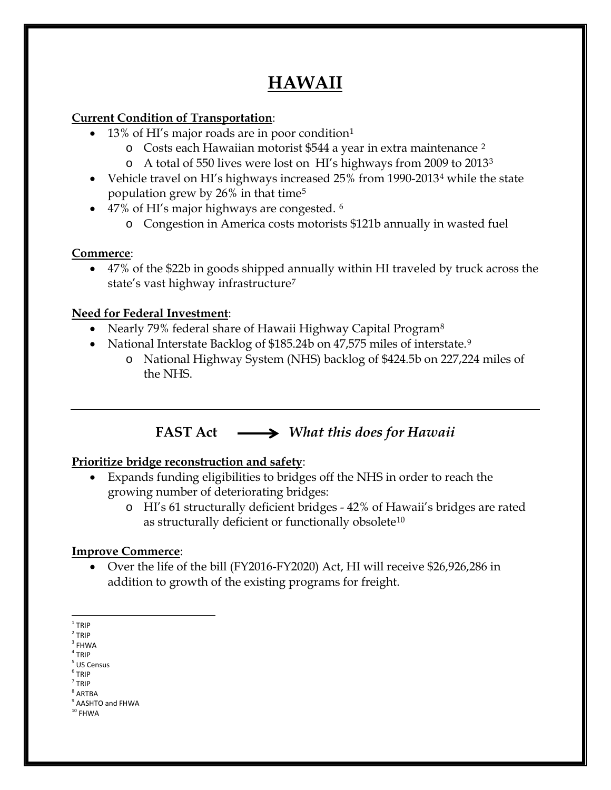# **HAWAII**

### **Current Condition of Transportation**:

- [1](#page-0-0)3% of HI's major roads are in poor condition<sup>1</sup>
	- o Costs each Hawaiian motorist \$544 a year in extra maintenance [2](#page-0-1)
	- o A total of 550 lives were lost on HI's highways from 2009 to 2013[3](#page-0-2)
- Vehicle travel on HI's highways increased 25% from 1990-2013[4](#page-0-3) while the state population grew by 26% in that time[5](#page-0-4)
- 47% of HI's major highways are congested. <sup>[6](#page-0-5)</sup>
	- o Congestion in America costs motorists \$121b annually in wasted fuel

### **Commerce**:

• 47% of the \$22b in goods shipped annually within HI traveled by truck across the state's vast highway infrastructure[7](#page-0-6)

### **Need for Federal Investment**:

- Nearly 79% federal share of Hawaii Highway Capital Program<sup>8</sup>
- National Interstate Backlog of \$185.24b on 47,575 miles of interstate.<sup>[9](#page-0-8)</sup>
	- o National Highway System (NHS) backlog of \$424.5b on 227,224 miles of the NHS.

# **FAST Act** *What this does for Hawaii*

## **Prioritize bridge reconstruction and safety**:

- Expands funding eligibilities to bridges off the NHS in order to reach the growing number of deteriorating bridges:
	- o HI's 61 structurally deficient bridges 42% of Hawaii's bridges are rated as structurally deficient or functionally obsolete<sup>[10](#page-0-9)</sup>

## **Improve Commerce**:

• Over the life of the bill (FY2016-FY2020) Act, HI will receive \$26,926,286 in addition to growth of the existing programs for freight.

<span id="page-0-0"></span> $1$  TRIP

<span id="page-0-1"></span><sup>2</sup> TRIP

<span id="page-0-2"></span> $3$  FHWA

<span id="page-0-3"></span> $4$  TRIP

<span id="page-0-4"></span><sup>5</sup> US Census

<sup>6</sup> TRIP

<span id="page-0-6"></span><span id="page-0-5"></span><sup>7</sup> TRIP

<span id="page-0-7"></span><sup>8</sup> ARTBA

<span id="page-0-9"></span><span id="page-0-8"></span><sup>&</sup>lt;sup>9</sup> AASHTO and FHWA  $^{\rm 10}$  FHWA